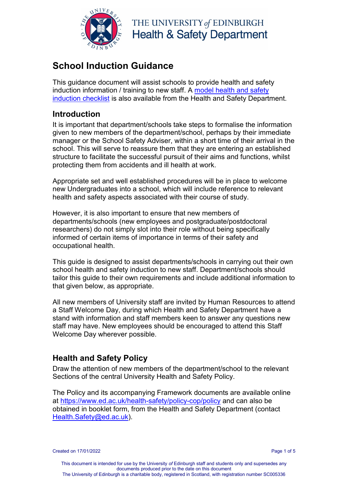

## **School Induction Guidance**

This guidance document will assist schools to provide health and safety induction information / training to new staff. A [model health and safety](https://www.docs.csg.ed.ac.uk/Safety/ra/Induction_checklist.docx)  [induction checklist](https://www.docs.csg.ed.ac.uk/Safety/ra/Induction_checklist.docx) is also available from the Health and Safety Department.

#### **Introduction**

It is important that department/schools take steps to formalise the information given to new members of the department/school, perhaps by their immediate manager or the School Safety Adviser, within a short time of their arrival in the school. This will serve to reassure them that they are entering an established structure to facilitate the successful pursuit of their aims and functions, whilst protecting them from accidents and ill health at work.

Appropriate set and well established procedures will be in place to welcome new Undergraduates into a school, which will include reference to relevant health and safety aspects associated with their course of study.

However, it is also important to ensure that new members of departments/schools (new employees and postgraduate/postdoctoral researchers) do not simply slot into their role without being specifically informed of certain items of importance in terms of their safety and occupational health.

This guide is designed to assist departments/schools in carrying out their own school health and safety induction to new staff. Department/schools should tailor this guide to their own requirements and include additional information to that given below, as appropriate.

All new members of University staff are invited by Human Resources to attend a Staff Welcome Day, during which Health and Safety Department have a stand with information and staff members keen to answer any questions new staff may have. New employees should be encouraged to attend this Staff Welcome Day wherever possible.

### **Health and Safety Policy**

Draw the attention of new members of the department/school to the relevant Sections of the central University Health and Safety Policy.

The Policy and its accompanying Framework documents are available online at<https://www.ed.ac.uk/health-safety/policy-cop/policy> and can also be obtained in booklet form, from the Health and Safety Department (contact [Health.Safety@ed.ac.uk\)](mailto:Health.Safety@ed.ac.uk).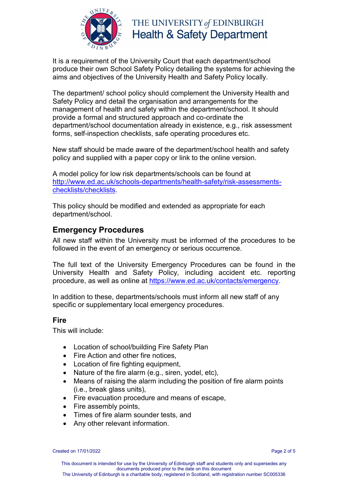

It is a requirement of the University Court that each department/school produce their own School Safety Policy detailing the systems for achieving the aims and objectives of the University Health and Safety Policy locally.

The department/ school policy should complement the University Health and Safety Policy and detail the organisation and arrangements for the management of health and safety within the department/school. It should provide a formal and structured approach and co-ordinate the department/school documentation already in existence, e.g., risk assessment forms, self-inspection checklists, safe operating procedures etc.

New staff should be made aware of the department/school health and safety policy and supplied with a paper copy or link to the online version.

A model policy for low risk departments/schools can be found at [http://www.ed.ac.uk/schools-departments/health-safety/risk-assessments](http://www.ed.ac.uk/schools-departments/health-safety/risk-assessments-checklists/checklists)[checklists/checklists.](http://www.ed.ac.uk/schools-departments/health-safety/risk-assessments-checklists/checklists)

This policy should be modified and extended as appropriate for each department/school.

### **Emergency Procedures**

All new staff within the University must be informed of the procedures to be followed in the event of an emergency or serious occurrence.

The full text of the University Emergency Procedures can be found in the University Health and Safety Policy, including accident etc. reporting procedure, as well as online at [https://www.ed.ac.uk/contacts/emergency.](https://www.ed.ac.uk/contacts/emergency)

In addition to these, departments/schools must inform all new staff of any specific or supplementary local emergency procedures.

#### **Fire**

This will include:

- Location of school/building Fire Safety Plan
- Fire Action and other fire notices.
- Location of fire fighting equipment,
- Nature of the fire alarm (e.g., siren, yodel, etc),
- Means of raising the alarm including the position of fire alarm points (i.e., break glass units),
- Fire evacuation procedure and means of escape,
- Fire assembly points,
- Times of fire alarm sounder tests, and
- Any other relevant information.

Created on 17/01/2022 **Page 2 of 5**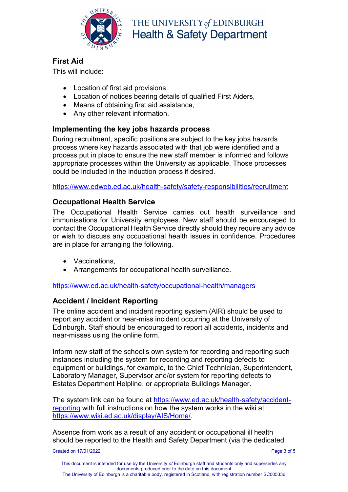

## **First Aid**

This will include:

- Location of first aid provisions,
- Location of notices bearing details of qualified First Aiders,
- Means of obtaining first aid assistance,
- Any other relevant information.

#### **Implementing the key jobs hazards process**

During recruitment, specific positions are subject to the key jobs hazards process where key hazards associated with that job were identified and a process put in place to ensure the new staff member is informed and follows appropriate processes within the University as applicable. Those processes could be included in the induction process if desired.

<https://www.edweb.ed.ac.uk/health-safety/safety-responsibilities/recruitment>

#### **Occupational Health Service**

The Occupational Health Service carries out health surveillance and immunisations for University employees. New staff should be encouraged to contact the Occupational Health Service directly should they require any advice or wish to discuss any occupational health issues in confidence. Procedures are in place for arranging the following.

- Vaccinations.
- Arrangements for occupational health surveillance.

<https://www.ed.ac.uk/health-safety/occupational-health/managers>

### **Accident / Incident Reporting**

The online accident and incident reporting system (AIR) should be used to report any accident or near-miss incident occurring at the University of Edinburgh. Staff should be encouraged to report all accidents, incidents and near-misses using the online form.

Inform new staff of the school's own system for recording and reporting such instances including the system for recording and reporting defects to equipment or buildings, for example, to the Chief Technician, Superintendent, Laboratory Manager, Supervisor and/or system for reporting defects to Estates Department Helpline, or appropriate Buildings Manager.

The system link can be found at [https://www.ed.ac.uk/health-safety/accident](https://www.ed.ac.uk/health-safety/accident-reporting)[reporting](https://www.ed.ac.uk/health-safety/accident-reporting) with full instructions on how the system works in the wiki at [https://www.wiki.ed.ac.uk/display/AIS/Home/.](https://www.wiki.ed.ac.uk/display/AIS/Home/)

Absence from work as a result of any accident or occupational ill health should be reported to the Health and Safety Department (via the dedicated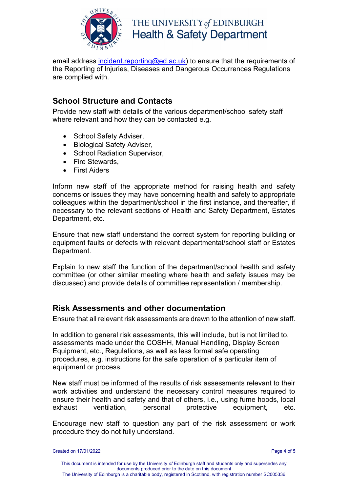

email address [incident.reporting@ed.ac.uk\)](mailto:incident.reporting@ed.ac.uk) to ensure that the requirements of the Reporting of Injuries, Diseases and Dangerous Occurrences Regulations are complied with.

## **School Structure and Contacts**

Provide new staff with details of the various department/school safety staff where relevant and how they can be contacted e.g.

- School Safety Adviser,
- Biological Safety Adviser,
- School Radiation Supervisor,
- Fire Stewards,
- **•** First Aiders

Inform new staff of the appropriate method for raising health and safety concerns or issues they may have concerning health and safety to appropriate colleagues within the department/school in the first instance, and thereafter, if necessary to the relevant sections of Health and Safety Department, Estates Department, etc.

Ensure that new staff understand the correct system for reporting building or equipment faults or defects with relevant departmental/school staff or Estates Department.

Explain to new staff the function of the department/school health and safety committee (or other similar meeting where health and safety issues may be discussed) and provide details of committee representation / membership.

#### **Risk Assessments and other documentation**

Ensure that all relevant risk assessments are drawn to the attention of new staff.

In addition to general risk assessments, this will include, but is not limited to, assessments made under the COSHH, Manual Handling, Display Screen Equipment, etc., Regulations, as well as less formal safe operating procedures, e.g. instructions for the safe operation of a particular item of equipment or process.

New staff must be informed of the results of risk assessments relevant to their work activities and understand the necessary control measures required to ensure their health and safety and that of others, i.e., using fume hoods, local exhaust ventilation, personal protective equipment, etc.

Encourage new staff to question any part of the risk assessment or work procedure they do not fully understand.